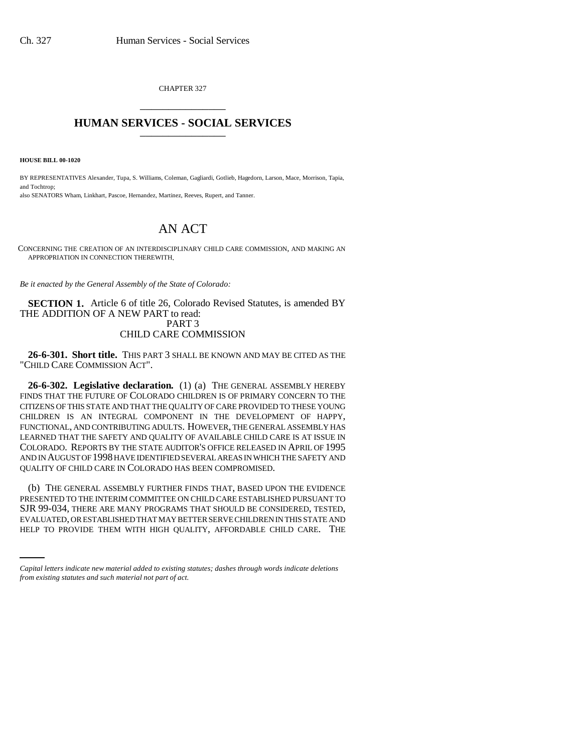CHAPTER 327 \_\_\_\_\_\_\_\_\_\_\_\_\_\_\_

## **HUMAN SERVICES - SOCIAL SERVICES** \_\_\_\_\_\_\_\_\_\_\_\_\_\_\_

**HOUSE BILL 00-1020** 

BY REPRESENTATIVES Alexander, Tupa, S. Williams, Coleman, Gagliardi, Gotlieb, Hagedorn, Larson, Mace, Morrison, Tapia, and Tochtrop; also SENATORS Wham, Linkhart, Pascoe, Hernandez, Martinez, Reeves, Rupert, and Tanner.

## AN ACT

CONCERNING THE CREATION OF AN INTERDISCIPLINARY CHILD CARE COMMISSION, AND MAKING AN APPROPRIATION IN CONNECTION THEREWITH.

*Be it enacted by the General Assembly of the State of Colorado:*

**SECTION 1.** Article 6 of title 26, Colorado Revised Statutes, is amended BY THE ADDITION OF A NEW PART to read: PART 3 CHILD CARE COMMISSION

**26-6-301. Short title.** THIS PART 3 SHALL BE KNOWN AND MAY BE CITED AS THE "CHILD CARE COMMISSION ACT".

**26-6-302. Legislative declaration.** (1) (a) THE GENERAL ASSEMBLY HEREBY FINDS THAT THE FUTURE OF COLORADO CHILDREN IS OF PRIMARY CONCERN TO THE CITIZENS OF THIS STATE AND THAT THE QUALITY OF CARE PROVIDED TO THESE YOUNG CHILDREN IS AN INTEGRAL COMPONENT IN THE DEVELOPMENT OF HAPPY, FUNCTIONAL, AND CONTRIBUTING ADULTS. HOWEVER, THE GENERAL ASSEMBLY HAS LEARNED THAT THE SAFETY AND QUALITY OF AVAILABLE CHILD CARE IS AT ISSUE IN COLORADO. REPORTS BY THE STATE AUDITOR'S OFFICE RELEASED IN APRIL OF 1995 AND IN AUGUST OF 1998 HAVE IDENTIFIED SEVERAL AREAS IN WHICH THE SAFETY AND QUALITY OF CHILD CARE IN COLORADO HAS BEEN COMPROMISED.

SJR 99-034, THERE ARE MANY PROGRAMS THAT SHOULD BE CONSIDERED, TESTED, (b) THE GENERAL ASSEMBLY FURTHER FINDS THAT, BASED UPON THE EVIDENCE PRESENTED TO THE INTERIM COMMITTEE ON CHILD CARE ESTABLISHED PURSUANT TO EVALUATED, OR ESTABLISHED THAT MAY BETTER SERVE CHILDREN IN THIS STATE AND HELP TO PROVIDE THEM WITH HIGH QUALITY, AFFORDABLE CHILD CARE. THE

*Capital letters indicate new material added to existing statutes; dashes through words indicate deletions from existing statutes and such material not part of act.*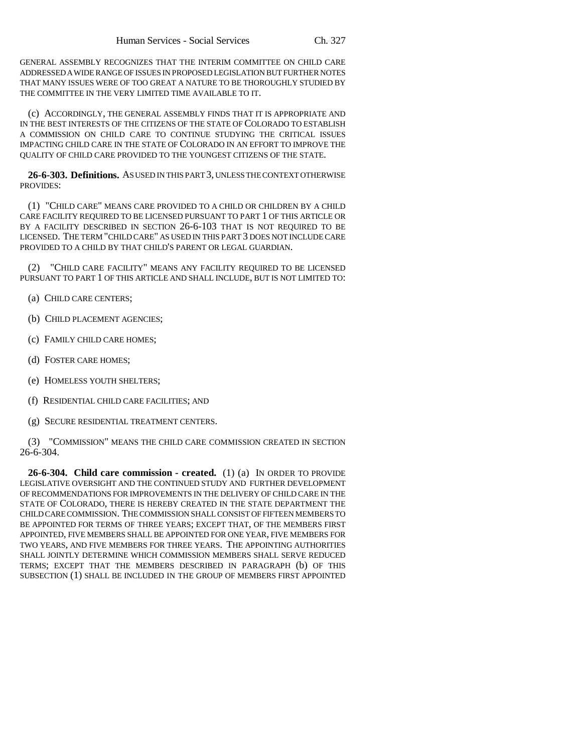GENERAL ASSEMBLY RECOGNIZES THAT THE INTERIM COMMITTEE ON CHILD CARE ADDRESSED A WIDE RANGE OF ISSUES IN PROPOSED LEGISLATION BUT FURTHER NOTES THAT MANY ISSUES WERE OF TOO GREAT A NATURE TO BE THOROUGHLY STUDIED BY THE COMMITTEE IN THE VERY LIMITED TIME AVAILABLE TO IT.

(c) ACCORDINGLY, THE GENERAL ASSEMBLY FINDS THAT IT IS APPROPRIATE AND IN THE BEST INTERESTS OF THE CITIZENS OF THE STATE OF COLORADO TO ESTABLISH A COMMISSION ON CHILD CARE TO CONTINUE STUDYING THE CRITICAL ISSUES IMPACTING CHILD CARE IN THE STATE OF COLORADO IN AN EFFORT TO IMPROVE THE QUALITY OF CHILD CARE PROVIDED TO THE YOUNGEST CITIZENS OF THE STATE.

**26-6-303. Definitions.** AS USED IN THIS PART 3, UNLESS THE CONTEXT OTHERWISE PROVIDES:

(1) "CHILD CARE" MEANS CARE PROVIDED TO A CHILD OR CHILDREN BY A CHILD CARE FACILITY REQUIRED TO BE LICENSED PURSUANT TO PART 1 OF THIS ARTICLE OR BY A FACILITY DESCRIBED IN SECTION 26-6-103 THAT IS NOT REQUIRED TO BE LICENSED. THE TERM "CHILD CARE" AS USED IN THIS PART 3 DOES NOT INCLUDE CARE PROVIDED TO A CHILD BY THAT CHILD'S PARENT OR LEGAL GUARDIAN.

(2) "CHILD CARE FACILITY" MEANS ANY FACILITY REQUIRED TO BE LICENSED PURSUANT TO PART 1 OF THIS ARTICLE AND SHALL INCLUDE, BUT IS NOT LIMITED TO:

- (a) CHILD CARE CENTERS;
- (b) CHILD PLACEMENT AGENCIES;
- (c) FAMILY CHILD CARE HOMES;
- (d) FOSTER CARE HOMES;
- (e) HOMELESS YOUTH SHELTERS;
- (f) RESIDENTIAL CHILD CARE FACILITIES; AND
- (g) SECURE RESIDENTIAL TREATMENT CENTERS.

(3) "COMMISSION" MEANS THE CHILD CARE COMMISSION CREATED IN SECTION 26-6-304.

**26-6-304. Child care commission - created.** (1) (a) IN ORDER TO PROVIDE LEGISLATIVE OVERSIGHT AND THE CONTINUED STUDY AND FURTHER DEVELOPMENT OF RECOMMENDATIONS FOR IMPROVEMENTS IN THE DELIVERY OF CHILD CARE IN THE STATE OF COLORADO, THERE IS HEREBY CREATED IN THE STATE DEPARTMENT THE CHILD CARE COMMISSION. THE COMMISSION SHALL CONSIST OF FIFTEEN MEMBERS TO BE APPOINTED FOR TERMS OF THREE YEARS; EXCEPT THAT, OF THE MEMBERS FIRST APPOINTED, FIVE MEMBERS SHALL BE APPOINTED FOR ONE YEAR, FIVE MEMBERS FOR TWO YEARS, AND FIVE MEMBERS FOR THREE YEARS. THE APPOINTING AUTHORITIES SHALL JOINTLY DETERMINE WHICH COMMISSION MEMBERS SHALL SERVE REDUCED TERMS; EXCEPT THAT THE MEMBERS DESCRIBED IN PARAGRAPH (b) OF THIS SUBSECTION (1) SHALL BE INCLUDED IN THE GROUP OF MEMBERS FIRST APPOINTED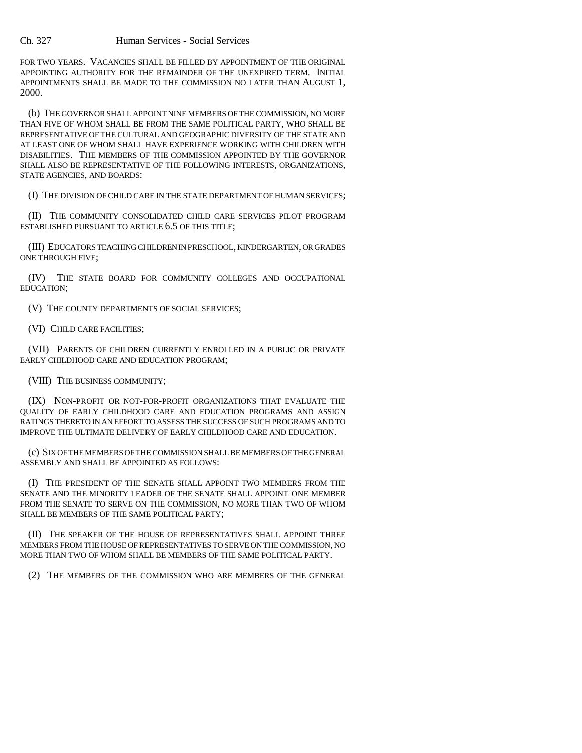FOR TWO YEARS. VACANCIES SHALL BE FILLED BY APPOINTMENT OF THE ORIGINAL APPOINTING AUTHORITY FOR THE REMAINDER OF THE UNEXPIRED TERM. INITIAL APPOINTMENTS SHALL BE MADE TO THE COMMISSION NO LATER THAN AUGUST 1, 2000.

(b) THE GOVERNOR SHALL APPOINT NINE MEMBERS OF THE COMMISSION, NO MORE THAN FIVE OF WHOM SHALL BE FROM THE SAME POLITICAL PARTY, WHO SHALL BE REPRESENTATIVE OF THE CULTURAL AND GEOGRAPHIC DIVERSITY OF THE STATE AND AT LEAST ONE OF WHOM SHALL HAVE EXPERIENCE WORKING WITH CHILDREN WITH DISABILITIES. THE MEMBERS OF THE COMMISSION APPOINTED BY THE GOVERNOR SHALL ALSO BE REPRESENTATIVE OF THE FOLLOWING INTERESTS, ORGANIZATIONS, STATE AGENCIES, AND BOARDS:

(I) THE DIVISION OF CHILD CARE IN THE STATE DEPARTMENT OF HUMAN SERVICES;

(II) THE COMMUNITY CONSOLIDATED CHILD CARE SERVICES PILOT PROGRAM ESTABLISHED PURSUANT TO ARTICLE 6.5 OF THIS TITLE;

(III) EDUCATORS TEACHING CHILDREN IN PRESCHOOL, KINDERGARTEN, OR GRADES ONE THROUGH FIVE;

(IV) THE STATE BOARD FOR COMMUNITY COLLEGES AND OCCUPATIONAL EDUCATION;

(V) THE COUNTY DEPARTMENTS OF SOCIAL SERVICES;

(VI) CHILD CARE FACILITIES;

(VII) PARENTS OF CHILDREN CURRENTLY ENROLLED IN A PUBLIC OR PRIVATE EARLY CHILDHOOD CARE AND EDUCATION PROGRAM;

(VIII) THE BUSINESS COMMUNITY;

(IX) NON-PROFIT OR NOT-FOR-PROFIT ORGANIZATIONS THAT EVALUATE THE QUALITY OF EARLY CHILDHOOD CARE AND EDUCATION PROGRAMS AND ASSIGN RATINGS THERETO IN AN EFFORT TO ASSESS THE SUCCESS OF SUCH PROGRAMS AND TO IMPROVE THE ULTIMATE DELIVERY OF EARLY CHILDHOOD CARE AND EDUCATION.

(c) SIX OF THE MEMBERS OF THE COMMISSION SHALL BE MEMBERS OF THE GENERAL ASSEMBLY AND SHALL BE APPOINTED AS FOLLOWS:

(I) THE PRESIDENT OF THE SENATE SHALL APPOINT TWO MEMBERS FROM THE SENATE AND THE MINORITY LEADER OF THE SENATE SHALL APPOINT ONE MEMBER FROM THE SENATE TO SERVE ON THE COMMISSION, NO MORE THAN TWO OF WHOM SHALL BE MEMBERS OF THE SAME POLITICAL PARTY;

(II) THE SPEAKER OF THE HOUSE OF REPRESENTATIVES SHALL APPOINT THREE MEMBERS FROM THE HOUSE OF REPRESENTATIVES TO SERVE ON THE COMMISSION, NO MORE THAN TWO OF WHOM SHALL BE MEMBERS OF THE SAME POLITICAL PARTY.

(2) THE MEMBERS OF THE COMMISSION WHO ARE MEMBERS OF THE GENERAL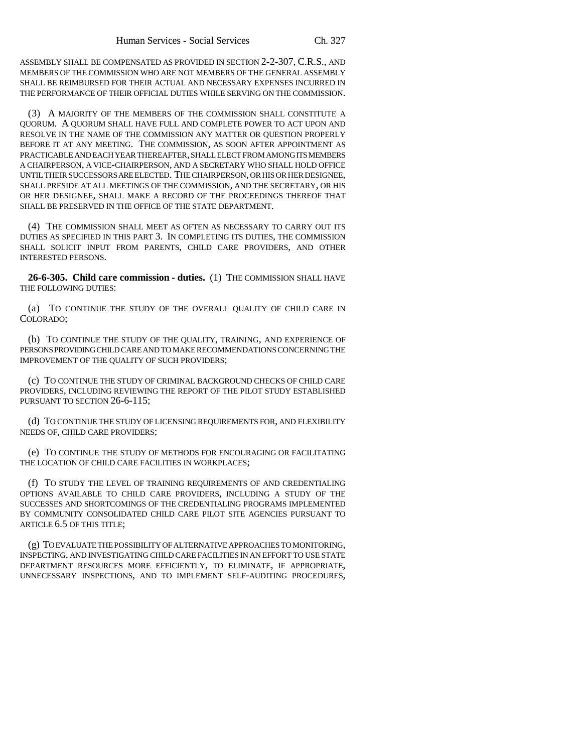ASSEMBLY SHALL BE COMPENSATED AS PROVIDED IN SECTION 2-2-307, C.R.S., AND MEMBERS OF THE COMMISSION WHO ARE NOT MEMBERS OF THE GENERAL ASSEMBLY SHALL BE REIMBURSED FOR THEIR ACTUAL AND NECESSARY EXPENSES INCURRED IN THE PERFORMANCE OF THEIR OFFICIAL DUTIES WHILE SERVING ON THE COMMISSION.

(3) A MAJORITY OF THE MEMBERS OF THE COMMISSION SHALL CONSTITUTE A QUORUM. A QUORUM SHALL HAVE FULL AND COMPLETE POWER TO ACT UPON AND RESOLVE IN THE NAME OF THE COMMISSION ANY MATTER OR QUESTION PROPERLY BEFORE IT AT ANY MEETING. THE COMMISSION, AS SOON AFTER APPOINTMENT AS PRACTICABLE AND EACH YEAR THEREAFTER, SHALL ELECT FROM AMONG ITS MEMBERS A CHAIRPERSON, A VICE-CHAIRPERSON, AND A SECRETARY WHO SHALL HOLD OFFICE UNTIL THEIR SUCCESSORS ARE ELECTED. THE CHAIRPERSON, OR HIS OR HER DESIGNEE, SHALL PRESIDE AT ALL MEETINGS OF THE COMMISSION, AND THE SECRETARY, OR HIS OR HER DESIGNEE, SHALL MAKE A RECORD OF THE PROCEEDINGS THEREOF THAT SHALL BE PRESERVED IN THE OFFICE OF THE STATE DEPARTMENT.

(4) THE COMMISSION SHALL MEET AS OFTEN AS NECESSARY TO CARRY OUT ITS DUTIES AS SPECIFIED IN THIS PART 3. IN COMPLETING ITS DUTIES, THE COMMISSION SHALL SOLICIT INPUT FROM PARENTS, CHILD CARE PROVIDERS, AND OTHER INTERESTED PERSONS.

**26-6-305. Child care commission - duties.** (1) THE COMMISSION SHALL HAVE THE FOLLOWING DUTIES:

(a) TO CONTINUE THE STUDY OF THE OVERALL QUALITY OF CHILD CARE IN COLORADO;

(b) TO CONTINUE THE STUDY OF THE QUALITY, TRAINING, AND EXPERIENCE OF PERSONS PROVIDING CHILD CARE AND TO MAKE RECOMMENDATIONS CONCERNING THE IMPROVEMENT OF THE QUALITY OF SUCH PROVIDERS;

(c) TO CONTINUE THE STUDY OF CRIMINAL BACKGROUND CHECKS OF CHILD CARE PROVIDERS, INCLUDING REVIEWING THE REPORT OF THE PILOT STUDY ESTABLISHED PURSUANT TO SECTION 26-6-115;

(d) TO CONTINUE THE STUDY OF LICENSING REQUIREMENTS FOR, AND FLEXIBILITY NEEDS OF, CHILD CARE PROVIDERS;

(e) TO CONTINUE THE STUDY OF METHODS FOR ENCOURAGING OR FACILITATING THE LOCATION OF CHILD CARE FACILITIES IN WORKPLACES;

(f) TO STUDY THE LEVEL OF TRAINING REQUIREMENTS OF AND CREDENTIALING OPTIONS AVAILABLE TO CHILD CARE PROVIDERS, INCLUDING A STUDY OF THE SUCCESSES AND SHORTCOMINGS OF THE CREDENTIALING PROGRAMS IMPLEMENTED BY COMMUNITY CONSOLIDATED CHILD CARE PILOT SITE AGENCIES PURSUANT TO ARTICLE 6.5 OF THIS TITLE;

(g) TO EVALUATE THE POSSIBILITY OF ALTERNATIVE APPROACHES TO MONITORING, INSPECTING, AND INVESTIGATING CHILD CARE FACILITIES IN AN EFFORT TO USE STATE DEPARTMENT RESOURCES MORE EFFICIENTLY, TO ELIMINATE, IF APPROPRIATE, UNNECESSARY INSPECTIONS, AND TO IMPLEMENT SELF-AUDITING PROCEDURES,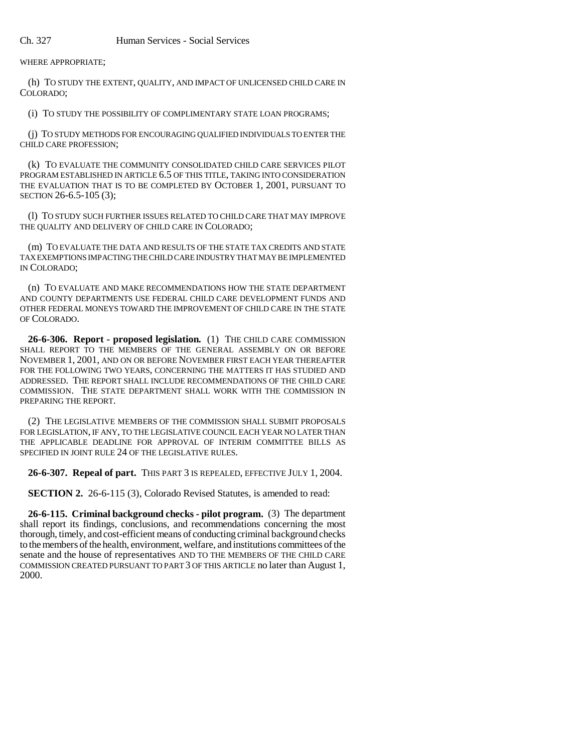WHERE APPROPRIATE;

(h) TO STUDY THE EXTENT, QUALITY, AND IMPACT OF UNLICENSED CHILD CARE IN COLORADO;

(i) TO STUDY THE POSSIBILITY OF COMPLIMENTARY STATE LOAN PROGRAMS;

(j) TO STUDY METHODS FOR ENCOURAGING QUALIFIED INDIVIDUALS TO ENTER THE CHILD CARE PROFESSION;

(k) TO EVALUATE THE COMMUNITY CONSOLIDATED CHILD CARE SERVICES PILOT PROGRAM ESTABLISHED IN ARTICLE 6.5 OF THIS TITLE, TAKING INTO CONSIDERATION THE EVALUATION THAT IS TO BE COMPLETED BY OCTOBER 1, 2001, PURSUANT TO SECTION 26-6.5-105 (3);

(l) TO STUDY SUCH FURTHER ISSUES RELATED TO CHILD CARE THAT MAY IMPROVE THE QUALITY AND DELIVERY OF CHILD CARE IN COLORADO;

(m) TO EVALUATE THE DATA AND RESULTS OF THE STATE TAX CREDITS AND STATE TAX EXEMPTIONS IMPACTING THE CHILD CARE INDUSTRY THAT MAY BE IMPLEMENTED IN COLORADO;

(n) TO EVALUATE AND MAKE RECOMMENDATIONS HOW THE STATE DEPARTMENT AND COUNTY DEPARTMENTS USE FEDERAL CHILD CARE DEVELOPMENT FUNDS AND OTHER FEDERAL MONEYS TOWARD THE IMPROVEMENT OF CHILD CARE IN THE STATE OF COLORADO.

**26-6-306. Report - proposed legislation.** (1) THE CHILD CARE COMMISSION SHALL REPORT TO THE MEMBERS OF THE GENERAL ASSEMBLY ON OR BEFORE NOVEMBER 1, 2001, AND ON OR BEFORE NOVEMBER FIRST EACH YEAR THEREAFTER FOR THE FOLLOWING TWO YEARS, CONCERNING THE MATTERS IT HAS STUDIED AND ADDRESSED. THE REPORT SHALL INCLUDE RECOMMENDATIONS OF THE CHILD CARE COMMISSION. THE STATE DEPARTMENT SHALL WORK WITH THE COMMISSION IN PREPARING THE REPORT.

(2) THE LEGISLATIVE MEMBERS OF THE COMMISSION SHALL SUBMIT PROPOSALS FOR LEGISLATION, IF ANY, TO THE LEGISLATIVE COUNCIL EACH YEAR NO LATER THAN THE APPLICABLE DEADLINE FOR APPROVAL OF INTERIM COMMITTEE BILLS AS SPECIFIED IN JOINT RULE 24 OF THE LEGISLATIVE RULES.

**26-6-307. Repeal of part.** THIS PART 3 IS REPEALED, EFFECTIVE JULY 1, 2004.

**SECTION 2.** 26-6-115 (3), Colorado Revised Statutes, is amended to read:

**26-6-115. Criminal background checks - pilot program.** (3) The department shall report its findings, conclusions, and recommendations concerning the most thorough, timely, and cost-efficient means of conducting criminal background checks to the members of the health, environment, welfare, and institutions committees of the senate and the house of representatives AND TO THE MEMBERS OF THE CHILD CARE COMMISSION CREATED PURSUANT TO PART 3 OF THIS ARTICLE no later than August 1, 2000.